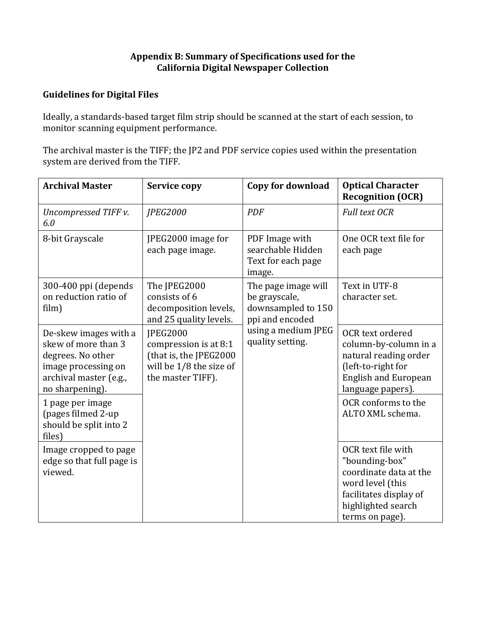#### Appendix B: Summary of Specifications used for the **California Digital Newspaper Collection**

## **Guidelines for Digital Files**

Ideally, a standards-based target film strip should be scanned at the start of each session, to monitor scanning equipment performance.

The archival master is the TIFF; the JP2 and PDF service copies used within the presentation system are derived from the TIFF.

| <b>Archival Master</b>                                                                                                                | <b>Service copy</b>                                                                                                  | Copy for download                                                             | <b>Optical Character</b><br><b>Recognition (OCR)</b>                                                                                                  |
|---------------------------------------------------------------------------------------------------------------------------------------|----------------------------------------------------------------------------------------------------------------------|-------------------------------------------------------------------------------|-------------------------------------------------------------------------------------------------------------------------------------------------------|
| Uncompressed TIFF v.<br>6.0                                                                                                           | <b>JPEG2000</b>                                                                                                      | <b>PDF</b>                                                                    | <b>Full text OCR</b>                                                                                                                                  |
| 8-bit Grayscale                                                                                                                       | JPEG2000 image for<br>each page image.                                                                               | PDF Image with<br>searchable Hidden<br>Text for each page<br>image.           | One OCR text file for<br>each page                                                                                                                    |
| 300-400 ppi (depends<br>on reduction ratio of<br>film)                                                                                | The JPEG2000<br>consists of 6<br>decomposition levels,<br>and 25 quality levels.                                     | The page image will<br>be grayscale,<br>downsampled to 150<br>ppi and encoded | Text in UTF-8<br>character set.                                                                                                                       |
| De-skew images with a<br>skew of more than 3<br>degrees. No other<br>image processing on<br>archival master (e.g.,<br>no sharpening). | <b>IPEG2000</b><br>compression is at 8:1<br>(that is, the JPEG2000<br>will be $1/8$ the size of<br>the master TIFF). | using a medium JPEG<br>quality setting.                                       | OCR text ordered<br>column-by-column in a<br>natural reading order<br>(left-to-right for<br><b>English and European</b><br>language papers).          |
| 1 page per image<br>(pages filmed 2-up<br>should be split into 2<br>files)                                                            |                                                                                                                      |                                                                               | OCR conforms to the<br>ALTO XML schema.                                                                                                               |
| Image cropped to page<br>edge so that full page is<br>viewed.                                                                         |                                                                                                                      |                                                                               | OCR text file with<br>"bounding-box"<br>coordinate data at the<br>word level (this<br>facilitates display of<br>highlighted search<br>terms on page). |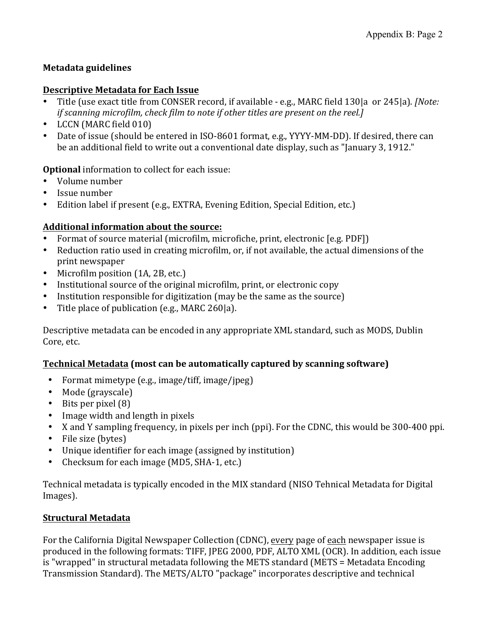# **Metadata guidelines**

### **Descriptive Metadata for Each Issue**

- Title (use exact title from CONSER record, if available e.g., MARC field 130|a or 245|a). *[Note: if scanning microfilm, check film to note if other titles are present on the reel.]*
- LCCN (MARC field 010)
- Date of issue (should be entered in ISO-8601 format, e.g., YYYY-MM-DD). If desired, there can be an additional field to write out a conventional date display, such as "January 3, 1912."

**Optional** information to collect for each issue:

- Volume number
- Issue number
- Edition label if present (e.g., EXTRA, Evening Edition, Special Edition, etc.)

## Additional information about the source:

- Format of source material (microfilm, microfiche, print, electronic [e.g. PDF])
- Reduction ratio used in creating microfilm, or, if not available, the actual dimensions of the print newspaper
- Microfilm position (1A, 2B, etc.)
- Institutional source of the original microfilm, print, or electronic copy
- Institution responsible for digitization (may be the same as the source)
- Title place of publication (e.g., MARC 260|a).

Descriptive metadata can be encoded in any appropriate XML standard, such as MODS, Dublin Core, etc.

## **Technical Metadata (most can be automatically captured by scanning software)**

- Format mimetype  $(e.g., image/tiff, image/peg)$
- Mode (grayscale)
- Bits per pixel  $(8)$
- Image width and length in pixels
- X and Y sampling frequency, in pixels per inch (ppi). For the CDNC, this would be 300-400 ppi.
- File size (bytes)
- Unique identifier for each image (assigned by institution)
- Checksum for each image (MD5, SHA-1, etc.)

Technical metadata is typically encoded in the MIX standard (NISO Tehnical Metadata for Digital Images).

## **Structural Metadata**

For the California Digital Newspaper Collection (CDNC), every page of each newspaper issue is produced in the following formats: TIFF, JPEG 2000, PDF, ALTO XML (OCR). In addition, each issue is "wrapped" in structural metadata following the METS standard (METS = Metadata Encoding Transmission Standard). The METS/ALTO "package" incorporates descriptive and technical